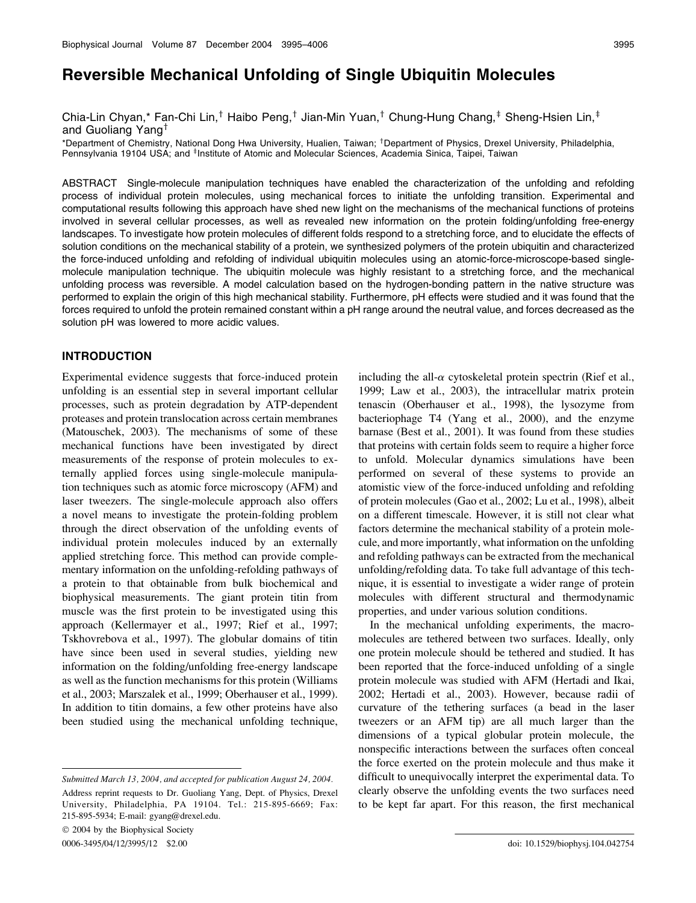# Reversible Mechanical Unfolding of Single Ubiquitin Molecules

Chia-Lin Chyan,\* Fan-Chi Lin,<sup>†</sup> Haibo Peng,<sup>†</sup> Jian-Min Yuan,<sup>†</sup> Chung-Hung Chang,<sup>‡</sup> Sheng-Hsien Lin,<sup>‡</sup> and Guoliang Yang<sup>t</sup>

\*Department of Chemistry, National Dong Hwa University, Hualien, Taiwan; <sup>†</sup>Department of Physics, Drexel University, Philadelphia, Pennsylvania 19104 USÁ; and <sup>‡</sup>Institute of Atomic and Molecular Sciences, Academia Sinica, Taipei, Taiwan

ABSTRACT Single-molecule manipulation techniques have enabled the characterization of the unfolding and refolding process of individual protein molecules, using mechanical forces to initiate the unfolding transition. Experimental and computational results following this approach have shed new light on the mechanisms of the mechanical functions of proteins involved in several cellular processes, as well as revealed new information on the protein folding/unfolding free-energy landscapes. To investigate how protein molecules of different folds respond to a stretching force, and to elucidate the effects of solution conditions on the mechanical stability of a protein, we synthesized polymers of the protein ubiquitin and characterized the force-induced unfolding and refolding of individual ubiquitin molecules using an atomic-force-microscope-based singlemolecule manipulation technique. The ubiquitin molecule was highly resistant to a stretching force, and the mechanical unfolding process was reversible. A model calculation based on the hydrogen-bonding pattern in the native structure was performed to explain the origin of this high mechanical stability. Furthermore, pH effects were studied and it was found that the forces required to unfold the protein remained constant within a pH range around the neutral value, and forces decreased as the solution pH was lowered to more acidic values.

# INTRODUCTION

Experimental evidence suggests that force-induced protein unfolding is an essential step in several important cellular processes, such as protein degradation by ATP-dependent proteases and protein translocation across certain membranes (Matouschek, 2003). The mechanisms of some of these mechanical functions have been investigated by direct measurements of the response of protein molecules to externally applied forces using single-molecule manipulation techniques such as atomic force microscopy (AFM) and laser tweezers. The single-molecule approach also offers a novel means to investigate the protein-folding problem through the direct observation of the unfolding events of individual protein molecules induced by an externally applied stretching force. This method can provide complementary information on the unfolding-refolding pathways of a protein to that obtainable from bulk biochemical and biophysical measurements. The giant protein titin from muscle was the first protein to be investigated using this approach (Kellermayer et al., 1997; Rief et al., 1997; Tskhovrebova et al., 1997). The globular domains of titin have since been used in several studies, yielding new information on the folding/unfolding free-energy landscape as well as the function mechanisms for this protein (Williams et al., 2003; Marszalek et al., 1999; Oberhauser et al., 1999). In addition to titin domains, a few other proteins have also been studied using the mechanical unfolding technique,

Submitted March 13, 2004, and accepted for publication August 24, 2004. Address reprint requests to Dr. Guoliang Yang, Dept. of Physics, Drexel University, Philadelphia, PA 19104. Tel.: 215-895-6669; Fax: 215-895-5934; E-mail: gyang@drexel.edu.

2004 by the Biophysical Society

0006-3495/04/12/3995/12 \$2.00 doi: 10.1529/biophysj.104.042754

including the all- $\alpha$  cytoskeletal protein spectrin (Rief et al., 1999; Law et al., 2003), the intracellular matrix protein tenascin (Oberhauser et al., 1998), the lysozyme from bacteriophage T4 (Yang et al., 2000), and the enzyme barnase (Best et al., 2001). It was found from these studies that proteins with certain folds seem to require a higher force to unfold. Molecular dynamics simulations have been performed on several of these systems to provide an atomistic view of the force-induced unfolding and refolding of protein molecules (Gao et al., 2002; Lu et al., 1998), albeit on a different timescale. However, it is still not clear what factors determine the mechanical stability of a protein molecule, and more importantly, what information on the unfolding and refolding pathways can be extracted from the mechanical unfolding/refolding data. To take full advantage of this technique, it is essential to investigate a wider range of protein molecules with different structural and thermodynamic properties, and under various solution conditions.

In the mechanical unfolding experiments, the macromolecules are tethered between two surfaces. Ideally, only one protein molecule should be tethered and studied. It has been reported that the force-induced unfolding of a single protein molecule was studied with AFM (Hertadi and Ikai, 2002; Hertadi et al., 2003). However, because radii of curvature of the tethering surfaces (a bead in the laser tweezers or an AFM tip) are all much larger than the dimensions of a typical globular protein molecule, the nonspecific interactions between the surfaces often conceal the force exerted on the protein molecule and thus make it difficult to unequivocally interpret the experimental data. To clearly observe the unfolding events the two surfaces need to be kept far apart. For this reason, the first mechanical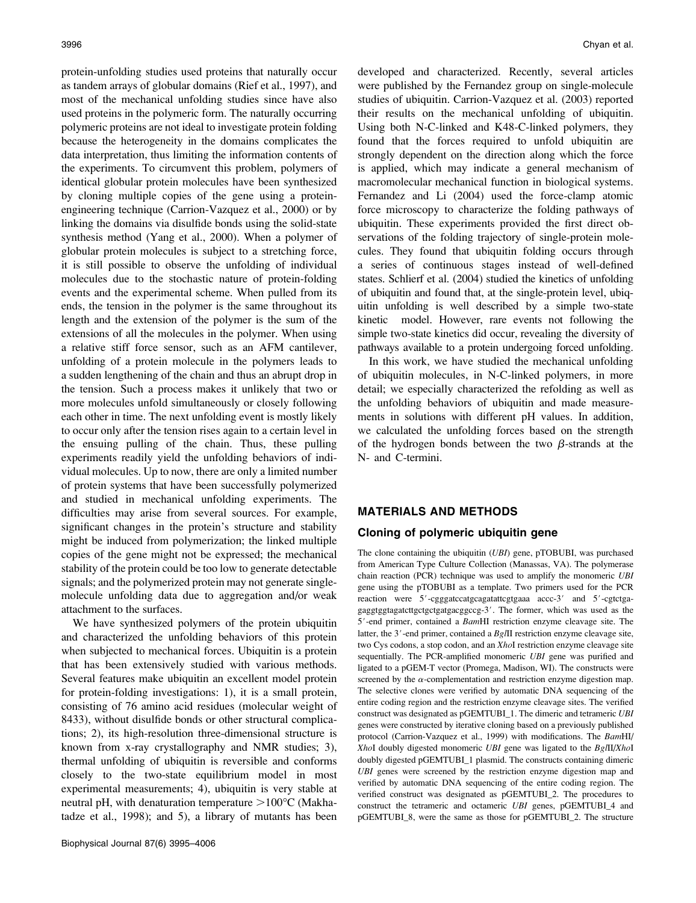protein-unfolding studies used proteins that naturally occur as tandem arrays of globular domains (Rief et al., 1997), and most of the mechanical unfolding studies since have also used proteins in the polymeric form. The naturally occurring polymeric proteins are not ideal to investigate protein folding because the heterogeneity in the domains complicates the data interpretation, thus limiting the information contents of the experiments. To circumvent this problem, polymers of identical globular protein molecules have been synthesized by cloning multiple copies of the gene using a proteinengineering technique (Carrion-Vazquez et al., 2000) or by linking the domains via disulfide bonds using the solid-state synthesis method (Yang et al., 2000). When a polymer of globular protein molecules is subject to a stretching force, it is still possible to observe the unfolding of individual molecules due to the stochastic nature of protein-folding events and the experimental scheme. When pulled from its ends, the tension in the polymer is the same throughout its length and the extension of the polymer is the sum of the extensions of all the molecules in the polymer. When using a relative stiff force sensor, such as an AFM cantilever, unfolding of a protein molecule in the polymers leads to a sudden lengthening of the chain and thus an abrupt drop in the tension. Such a process makes it unlikely that two or more molecules unfold simultaneously or closely following each other in time. The next unfolding event is mostly likely to occur only after the tension rises again to a certain level in the ensuing pulling of the chain. Thus, these pulling experiments readily yield the unfolding behaviors of individual molecules. Up to now, there are only a limited number of protein systems that have been successfully polymerized and studied in mechanical unfolding experiments. The difficulties may arise from several sources. For example, significant changes in the protein's structure and stability might be induced from polymerization; the linked multiple copies of the gene might not be expressed; the mechanical stability of the protein could be too low to generate detectable signals; and the polymerized protein may not generate singlemolecule unfolding data due to aggregation and/or weak attachment to the surfaces.

We have synthesized polymers of the protein ubiquitin and characterized the unfolding behaviors of this protein when subjected to mechanical forces. Ubiquitin is a protein that has been extensively studied with various methods. Several features make ubiquitin an excellent model protein for protein-folding investigations: 1), it is a small protein, consisting of 76 amino acid residues (molecular weight of 8433), without disulfide bonds or other structural complications; 2), its high-resolution three-dimensional structure is known from x-ray crystallography and NMR studies; 3), thermal unfolding of ubiquitin is reversible and conforms closely to the two-state equilibrium model in most experimental measurements; 4), ubiquitin is very stable at neutral pH, with denaturation temperature  $>$ 100 $\rm ^{\circ}C$  (Makhatadze et al., 1998); and 5), a library of mutants has been developed and characterized. Recently, several articles were published by the Fernandez group on single-molecule studies of ubiquitin. Carrion-Vazquez et al. (2003) reported their results on the mechanical unfolding of ubiquitin. Using both N-C-linked and K48-C-linked polymers, they found that the forces required to unfold ubiquitin are strongly dependent on the direction along which the force is applied, which may indicate a general mechanism of macromolecular mechanical function in biological systems. Fernandez and Li (2004) used the force-clamp atomic force microscopy to characterize the folding pathways of ubiquitin. These experiments provided the first direct observations of the folding trajectory of single-protein molecules. They found that ubiquitin folding occurs through a series of continuous stages instead of well-defined states. Schlierf et al. (2004) studied the kinetics of unfolding of ubiquitin and found that, at the single-protein level, ubiquitin unfolding is well described by a simple two-state kinetic model. However, rare events not following the simple two-state kinetics did occur, revealing the diversity of pathways available to a protein undergoing forced unfolding.

In this work, we have studied the mechanical unfolding of ubiquitin molecules, in N-C-linked polymers, in more detail; we especially characterized the refolding as well as the unfolding behaviors of ubiquitin and made measurements in solutions with different pH values. In addition, we calculated the unfolding forces based on the strength of the hydrogen bonds between the two  $\beta$ -strands at the N- and C-termini.

### MATERIALS AND METHODS

### Cloning of polymeric ubiquitin gene

The clone containing the ubiquitin (UBI) gene, pTOBUBI, was purchased from American Type Culture Collection (Manassas, VA). The polymerase chain reaction (PCR) technique was used to amplify the monomeric UBI gene using the pTOBUBI as a template. Two primers used for the PCR reaction were  $5'$ -cgggatccatgcagatattcgtgaaa accc-3' and  $5'$ -cgtctgagaggtggtagatcttgctgctgatgacggccg-3'. The former, which was used as the 5'-end primer, contained a BamHI restriction enzyme cleavage site. The latter, the  $3'$ -end primer, contained a  $Bg/II$  restriction enzyme cleavage site, two Cys codons, a stop codon, and an XhoI restriction enzyme cleavage site sequentially. The PCR-amplified monomeric UBI gene was purified and ligated to a pGEM-T vector (Promega, Madison, WI). The constructs were screened by the  $\alpha$ -complementation and restriction enzyme digestion map. The selective clones were verified by automatic DNA sequencing of the entire coding region and the restriction enzyme cleavage sites. The verified construct was designated as pGEMTUBI\_1. The dimeric and tetrameric UBI genes were constructed by iterative cloning based on a previously published protocol (Carrion-Vazquez et al., 1999) with modifications. The BamHI/ XhoI doubly digested monomeric UBI gene was ligated to the BgIII/XhoI doubly digested pGEMTUBI\_1 plasmid. The constructs containing dimeric UBI genes were screened by the restriction enzyme digestion map and verified by automatic DNA sequencing of the entire coding region. The verified construct was designated as pGEMTUBI\_2. The procedures to construct the tetrameric and octameric UBI genes, pGEMTUBI\_4 and pGEMTUBI\_8, were the same as those for pGEMTUBI\_2. The structure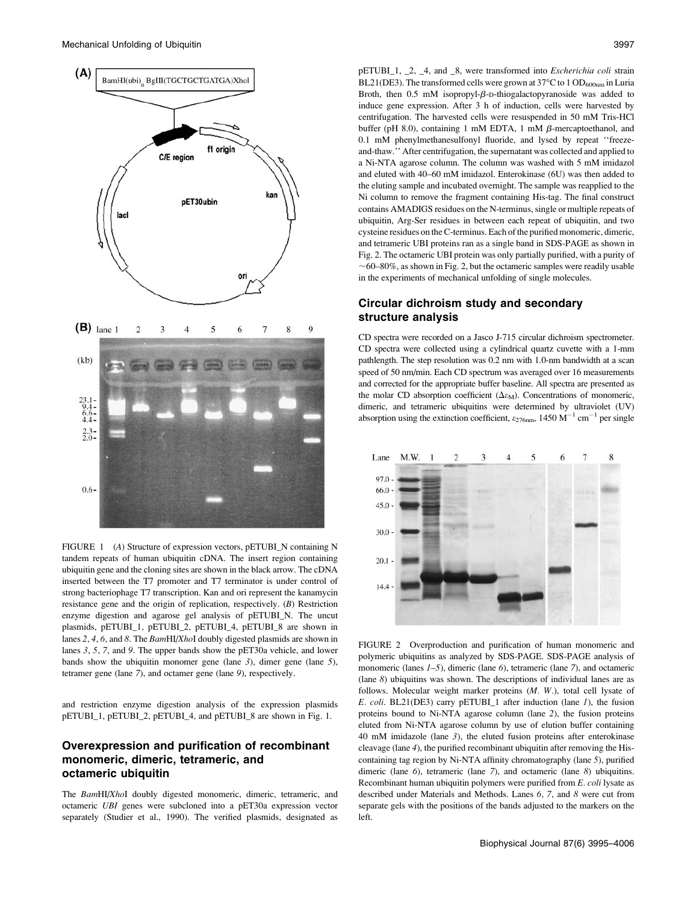

FIGURE 1 (A) Structure of expression vectors, pETUBI\_N containing N tandem repeats of human ubiquitin cDNA. The insert region containing ubiquitin gene and the cloning sites are shown in the black arrow. The cDNA inserted between the T7 promoter and T7 terminator is under control of strong bacteriophage T7 transcription. Kan and ori represent the kanamycin resistance gene and the origin of replication, respectively. (B) Restriction enzyme digestion and agarose gel analysis of pETUBI\_N. The uncut plasmids, pETUBI\_1, pETUBI\_2, pETUBI\_4, pETUBI\_8 are shown in lanes 2, 4, 6, and 8. The  $BamHI/Xhol$  doubly digested plasmids are shown in lanes 3, 5, 7, and 9. The upper bands show the pET30a vehicle, and lower bands show the ubiquitin monomer gene (lane  $3$ ), dimer gene (lane  $5$ ), tetramer gene (lane 7), and octamer gene (lane 9), respectively.

and restriction enzyme digestion analysis of the expression plasmids pETUBI\_1, pETUBI\_2, pETUBI\_4, and pETUBI\_8 are shown in Fig. 1.

## Overexpression and purification of recombinant monomeric, dimeric, tetrameric, and octameric ubiquitin

The BamHI/XhoI doubly digested monomeric, dimeric, tetrameric, and octameric UBI genes were subcloned into a pET30a expression vector separately (Studier et al., 1990). The verified plasmids, designated as

pETUBI\_1, \_2, \_4, and \_8, were transformed into Escherichia coli strain BL21(DE3). The transformed cells were grown at  $37^{\circ}$ C to 1 OD<sub>600nm</sub> in Luria Broth, then  $0.5$  mM isopropyl- $\beta$ -D-thiogalactopyranoside was added to induce gene expression. After 3 h of induction, cells were harvested by centrifugation. The harvested cells were resuspended in 50 mM Tris-HCl buffer (pH 8.0), containing 1 mM EDTA, 1 mM  $\beta$ -mercaptoethanol, and 0.1 mM phenylmethanesulfonyl fluoride, and lysed by repeat ''freezeand-thaw.'' After centrifugation, the supernatant was collected and applied to a Ni-NTA agarose column. The column was washed with 5 mM imidazol and eluted with 40–60 mM imidazol. Enterokinase (6U) was then added to the eluting sample and incubated overnight. The sample was reapplied to the Ni column to remove the fragment containing His-tag. The final construct contains AMADIGS residues on the N-terminus, single or multiple repeats of ubiquitin, Arg-Ser residues in between each repeat of ubiquitin, and two cysteine residues on the C-terminus. Each of the purified monomeric, dimeric, and tetrameric UBI proteins ran as a single band in SDS-PAGE as shown in Fig. 2. The octameric UBI protein was only partially purified, with a purity of  $\sim$  60–80%, as shown in Fig. 2, but the octameric samples were readily usable in the experiments of mechanical unfolding of single molecules.

### Circular dichroism study and secondary structure analysis

CD spectra were recorded on a Jasco J-715 circular dichroism spectrometer. CD spectra were collected using a cylindrical quartz cuvette with a 1-mm pathlength. The step resolution was 0.2 nm with 1.0-nm bandwidth at a scan speed of 50 nm/min. Each CD spectrum was averaged over 16 measurements and corrected for the appropriate buffer baseline. All spectra are presented as the molar CD absorption coefficient ( $\Delta \varepsilon_{\text{M}}$ ). Concentrations of monomeric, dimeric, and tetrameric ubiquitins were determined by ultraviolet (UV) absorption using the extinction coefficient,  $\varepsilon_{276nm}$ , 1450 M<sup>-1</sup> cm<sup>-1</sup> per single



FIGURE 2 Overproduction and purification of human monomeric and polymeric ubiquitins as analyzed by SDS-PAGE. SDS-PAGE analysis of monomeric (lanes 1–5), dimeric (lane 6), tetrameric (lane 7), and octameric (lane 8) ubiquitins was shown. The descriptions of individual lanes are as follows. Molecular weight marker proteins (M. W.), total cell lysate of E. coli. BL21(DE3) carry pETUBI\_1 after induction (lane  $I$ ), the fusion proteins bound to Ni-NTA agarose column (lane 2), the fusion proteins eluted from Ni-NTA agarose column by use of elution buffer containing 40 mM imidazole (lane 3), the eluted fusion proteins after enterokinase cleavage (lane 4), the purified recombinant ubiquitin after removing the Hiscontaining tag region by Ni-NTA affinity chromatography (lane 5), purified dimeric (lane 6), tetrameric (lane 7), and octameric (lane 8) ubiquitins. Recombinant human ubiquitin polymers were purified from E. coli lysate as described under Materials and Methods. Lanes 6, 7, and 8 were cut from separate gels with the positions of the bands adjusted to the markers on the left.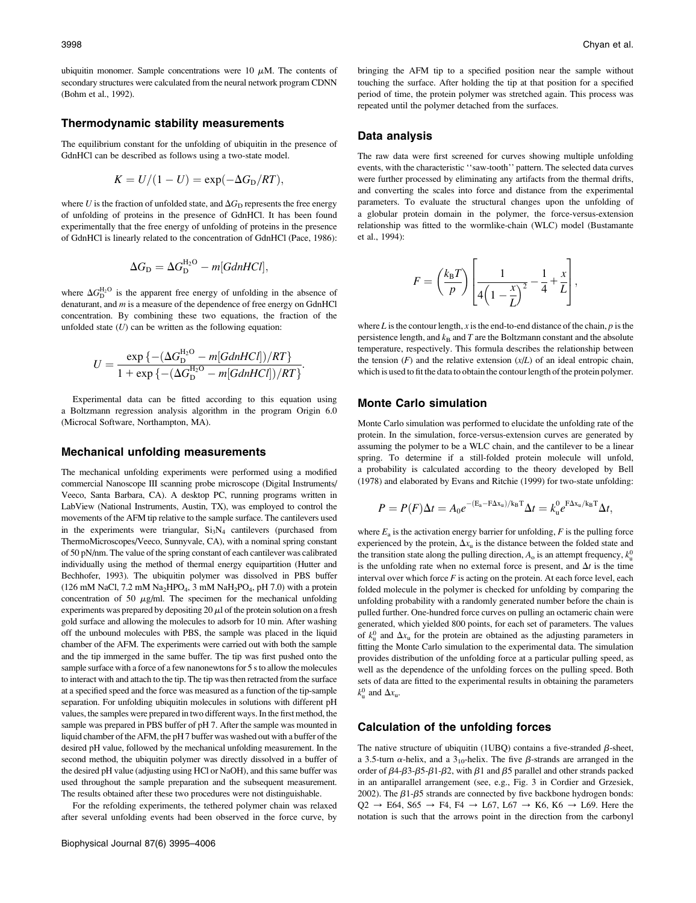ubiquitin monomer. Sample concentrations were 10  $\mu$ M. The contents of secondary structures were calculated from the neural network program CDNN (Bohm et al., 1992).

#### Thermodynamic stability measurements

The equilibrium constant for the unfolding of ubiquitin in the presence of GdnHCl can be described as follows using a two-state model.

$$
K = U/(1 - U) = \exp(-\Delta G_{\rm D}/RT),
$$

where U is the fraction of unfolded state, and  $\Delta G<sub>D</sub>$  represents the free energy of unfolding of proteins in the presence of GdnHCl. It has been found experimentally that the free energy of unfolding of proteins in the presence of GdnHCl is linearly related to the concentration of GdnHCl (Pace, 1986):

$$
\Delta G_{\rm D} = \Delta G_{\rm D}^{\rm H_2O} - m[GdnHCl],
$$

where  $\Delta G_{\text{D}}^{\text{H}_2\text{O}}$  is the apparent free energy of unfolding in the absence of denaturant, and m is a measure of the dependence of free energy on GdnHCl concentration. By combining these two equations, the fraction of the unfolded state  $(U)$  can be written as the following equation:

$$
U = \frac{\exp\left\{-(\Delta G_{\rm D}^{\rm H_2O} - m[GdnHCl])/RT\right\}}{1 + \exp\left\{-(\Delta G_{\rm D}^{\rm H_2O} - m[GdnHCl])/RT\right\}}.
$$

Experimental data can be fitted according to this equation using a Boltzmann regression analysis algorithm in the program Origin 6.0 (Microcal Software, Northampton, MA).

#### Mechanical unfolding measurements

The mechanical unfolding experiments were performed using a modified commercial Nanoscope III scanning probe microscope (Digital Instruments/ Veeco, Santa Barbara, CA). A desktop PC, running programs written in LabView (National Instruments, Austin, TX), was employed to control the movements of the AFM tip relative to the sample surface. The cantilevers used in the experiments were triangular,  $Si<sub>3</sub>N<sub>4</sub>$  cantilevers (purchased from ThermoMicroscopes/Veeco, Sunnyvale, CA), with a nominal spring constant of 50 pN/nm. The value of the spring constant of each cantilever was calibrated individually using the method of thermal energy equipartition (Hutter and Bechhofer, 1993). The ubiquitin polymer was dissolved in PBS buffer (126 mM NaCl, 7.2 mM Na<sub>2</sub>HPO<sub>4</sub>, 3 mM NaH<sub>2</sub>PO<sub>4</sub>, pH 7.0) with a protein concentration of 50  $\mu$ g/ml. The specimen for the mechanical unfolding experiments was prepared by depositing  $20 \mu l$  of the protein solution on a fresh gold surface and allowing the molecules to adsorb for 10 min. After washing off the unbound molecules with PBS, the sample was placed in the liquid chamber of the AFM. The experiments were carried out with both the sample and the tip immerged in the same buffer. The tip was first pushed onto the sample surface with a force of a few nanonewtons for 5 s to allow the molecules to interact with and attach to the tip. The tip was then retracted from the surface at a specified speed and the force was measured as a function of the tip-sample separation. For unfolding ubiquitin molecules in solutions with different pH values, the samples were prepared in two different ways. In the first method, the sample was prepared in PBS buffer of pH 7. After the sample was mounted in liquid chamber of the AFM, the pH 7 buffer was washed out with a buffer of the desired pH value, followed by the mechanical unfolding measurement. In the second method, the ubiquitin polymer was directly dissolved in a buffer of the desired pH value (adjusting using HCl or NaOH), and this same buffer was used throughout the sample preparation and the subsequent measurement. The results obtained after these two procedures were not distinguishable.

For the refolding experiments, the tethered polymer chain was relaxed after several unfolding events had been observed in the force curve, by

bringing the AFM tip to a specified position near the sample without touching the surface. After holding the tip at that position for a specified period of time, the protein polymer was stretched again. This process was repeated until the polymer detached from the surfaces.

#### Data analysis

The raw data were first screened for curves showing multiple unfolding events, with the characteristic ''saw-tooth'' pattern. The selected data curves were further processed by eliminating any artifacts from the thermal drifts, and converting the scales into force and distance from the experimental parameters. To evaluate the structural changes upon the unfolding of a globular protein domain in the polymer, the force-versus-extension relationship was fitted to the wormlike-chain (WLC) model (Bustamante et al., 1994):

$$
F = \left(\frac{k_{\rm B}T}{p}\right) \left[\frac{1}{4\left(1 - \frac{x}{L}\right)^2} - \frac{1}{4} + \frac{x}{L}\right],
$$

where L is the contour length, x is the end-to-end distance of the chain,  $p$  is the persistence length, and  $k_B$  and T are the Boltzmann constant and the absolute temperature, respectively. This formula describes the relationship between the tension  $(F)$  and the relative extension  $(x/L)$  of an ideal entropic chain, which is used to fit the data to obtain the contour length of the protein polymer.

# Monte Carlo simulation

Monte Carlo simulation was performed to elucidate the unfolding rate of the protein. In the simulation, force-versus-extension curves are generated by assuming the polymer to be a WLC chain, and the cantilever to be a linear spring. To determine if a still-folded protein molecule will unfold, a probability is calculated according to the theory developed by Bell (1978) and elaborated by Evans and Ritchie (1999) for two-state unfolding:

$$
P = P(F)\Delta t = A_0 e^{-(E_a - F\Delta x_u)/k_B T} \Delta t = k_u^0 e^{F\Delta x_u/k_B T} \Delta t,
$$

where  $E_a$  is the activation energy barrier for unfolding, F is the pulling force experienced by the protein,  $\Delta x_u$  is the distance between the folded state and the transition state along the pulling direction,  $A_0$  is an attempt frequency,  $k_{\rm u}^0$ is the unfolding rate when no external force is present, and  $\Delta t$  is the time interval over which force  $F$  is acting on the protein. At each force level, each folded molecule in the polymer is checked for unfolding by comparing the unfolding probability with a randomly generated number before the chain is pulled further. One-hundred force curves on pulling an octameric chain were generated, which yielded 800 points, for each set of parameters. The values of  $k_{\text{u}}^0$  and  $\Delta x_{\text{u}}$  for the protein are obtained as the adjusting parameters in fitting the Monte Carlo simulation to the experimental data. The simulation provides distribution of the unfolding force at a particular pulling speed, as well as the dependence of the unfolding forces on the pulling speed. Both sets of data are fitted to the experimental results in obtaining the parameters  $k_{\mathrm{u}}^0$  and  $\Delta x_{\mathrm{u}}$ .

#### Calculation of the unfolding forces

The native structure of ubiquitin (1UBQ) contains a five-stranded  $\beta$ -sheet, a 3.5-turn  $\alpha$ -helix, and a 3<sub>10</sub>-helix. The five  $\beta$ -strands are arranged in the order of  $\beta$ 4- $\beta$ 3- $\beta$ 5- $\beta$ 1- $\beta$ 2, with  $\beta$ 1 and  $\beta$ 5 parallel and other strands packed in an antiparallel arrangement (see, e.g., Fig. 3 in Cordier and Grzesiek, 2002). The  $\beta$ 1- $\beta$ 5 strands are connected by five backbone hydrogen bonds:  $Q2 \rightarrow E64$ , S65  $\rightarrow F4$ , F4  $\rightarrow L67$ , L67  $\rightarrow K6$ , K6  $\rightarrow L69$ . Here the notation is such that the arrows point in the direction from the carbonyl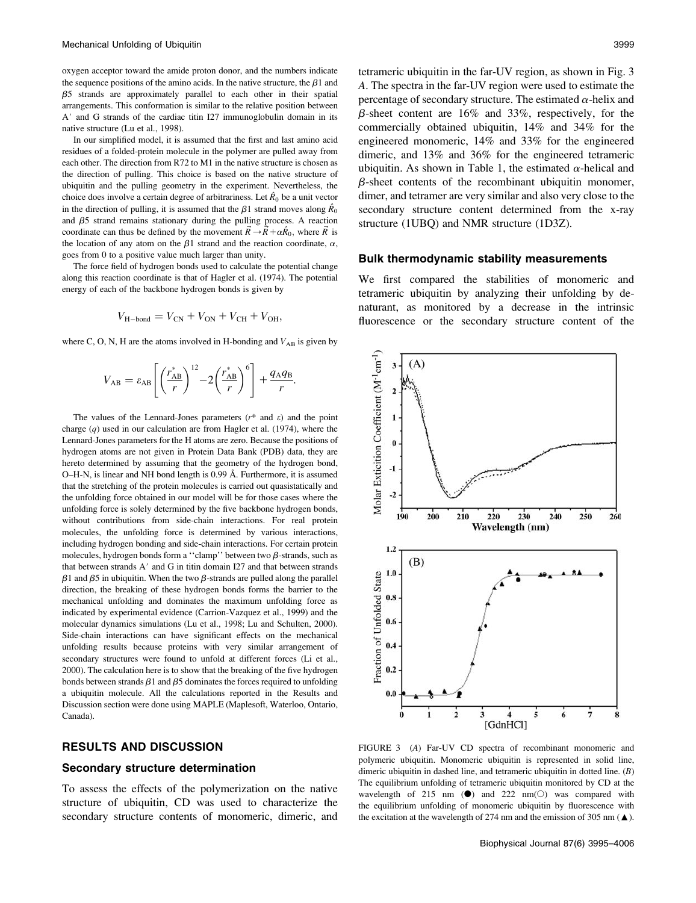oxygen acceptor toward the amide proton donor, and the numbers indicate the sequence positions of the amino acids. In the native structure, the  $\beta$ 1 and  $\beta$ 5 strands are approximately parallel to each other in their spatial arrangements. This conformation is similar to the relative position between A' and G strands of the cardiac titin I27 immunoglobulin domain in its native structure (Lu et al., 1998).

In our simplified model, it is assumed that the first and last amino acid residues of a folded-protein molecule in the polymer are pulled away from each other. The direction from R72 to M1 in the native structure is chosen as the direction of pulling. This choice is based on the native structure of ubiquitin and the pulling geometry in the experiment. Nevertheless, the choice does involve a certain degree of arbitrariness. Let  $\hat{R}_0$  be a unit vector in the direction of pulling, it is assumed that the  $\beta$ 1 strand moves along  $\hat{R}_0$ and  $\beta$ 5 strand remains stationary during the pulling process. A reaction coordinate can thus be defined by the movement  $\vec{R} \rightarrow \vec{R} + \alpha \hat{R}_0$ , where  $\vec{R}$  is the location of any atom on the  $\beta$ 1 strand and the reaction coordinate,  $\alpha$ , goes from 0 to a positive value much larger than unity.

The force field of hydrogen bonds used to calculate the potential change along this reaction coordinate is that of Hagler et al. (1974). The potential energy of each of the backbone hydrogen bonds is given by

$$
V_{\text{H-bond}} = V_{\text{CN}} + V_{\text{ON}} + V_{\text{CH}} + V_{\text{OH}},
$$

where C, O, N, H are the atoms involved in H-bonding and  $V_{AB}$  is given by

$$
V_{AB} = \varepsilon_{AB} \left[ \left( \frac{r_{AB}^*}{r} \right)^{12} - 2 \left( \frac{r_{AB}^*}{r} \right)^6 \right] + \frac{q_A q_B}{r}.
$$

The values of the Lennard-Jones parameters  $(r^*$  and  $\varepsilon)$  and the point charge  $(q)$  used in our calculation are from Hagler et al. (1974), where the Lennard-Jones parameters for the H atoms are zero. Because the positions of hydrogen atoms are not given in Protein Data Bank (PDB) data, they are hereto determined by assuming that the geometry of the hydrogen bond, O–H-N, is linear and NH bond length is  $0.99 \text{ Å}$ . Furthermore, it is assumed that the stretching of the protein molecules is carried out quasistatically and the unfolding force obtained in our model will be for those cases where the unfolding force is solely determined by the five backbone hydrogen bonds, without contributions from side-chain interactions. For real protein molecules, the unfolding force is determined by various interactions, including hydrogen bonding and side-chain interactions. For certain protein molecules, hydrogen bonds form a "clamp" between two  $\beta$ -strands, such as that between strands  $A'$  and  $G$  in titin domain I27 and that between strands  $\beta$ 1 and  $\beta$ 5 in ubiquitin. When the two  $\beta$ -strands are pulled along the parallel direction, the breaking of these hydrogen bonds forms the barrier to the mechanical unfolding and dominates the maximum unfolding force as indicated by experimental evidence (Carrion-Vazquez et al., 1999) and the molecular dynamics simulations (Lu et al., 1998; Lu and Schulten, 2000). Side-chain interactions can have significant effects on the mechanical unfolding results because proteins with very similar arrangement of secondary structures were found to unfold at different forces (Li et al., 2000). The calculation here is to show that the breaking of the five hydrogen bonds between strands  $\beta$ 1 and  $\beta$ 5 dominates the forces required to unfolding a ubiquitin molecule. All the calculations reported in the Results and Discussion section were done using MAPLE (Maplesoft, Waterloo, Ontario, Canada).

### RESULTS AND DISCUSSION

#### Secondary structure determination

To assess the effects of the polymerization on the native structure of ubiquitin, CD was used to characterize the secondary structure contents of monomeric, dimeric, and

tetrameric ubiquitin in the far-UV region, as shown in Fig. 3 A. The spectra in the far-UV region were used to estimate the percentage of secondary structure. The estimated  $\alpha$ -helix and  $\beta$ -sheet content are 16% and 33%, respectively, for the commercially obtained ubiquitin, 14% and 34% for the engineered monomeric, 14% and 33% for the engineered dimeric, and 13% and 36% for the engineered tetrameric ubiquitin. As shown in Table 1, the estimated  $\alpha$ -helical and  $\beta$ -sheet contents of the recombinant ubiquitin monomer, dimer, and tetramer are very similar and also very close to the secondary structure content determined from the x-ray structure (1UBQ) and NMR structure (1D3Z).

#### Bulk thermodynamic stability measurements

We first compared the stabilities of monomeric and tetrameric ubiquitin by analyzing their unfolding by denaturant, as monitored by a decrease in the intrinsic fluorescence or the secondary structure content of the



FIGURE 3 (A) Far-UV CD spectra of recombinant monomeric and polymeric ubiquitin. Monomeric ubiquitin is represented in solid line, dimeric ubiquitin in dashed line, and tetrameric ubiquitin in dotted line. (B) The equilibrium unfolding of tetrameric ubiquitin monitored by CD at the wavelength of 215 nm  $(\bullet)$  and 222 nm( $\circ$ ) was compared with the equilibrium unfolding of monomeric ubiquitin by fluorescence with the excitation at the wavelength of 274 nm and the emission of 305 nm  $(\triangle)$ .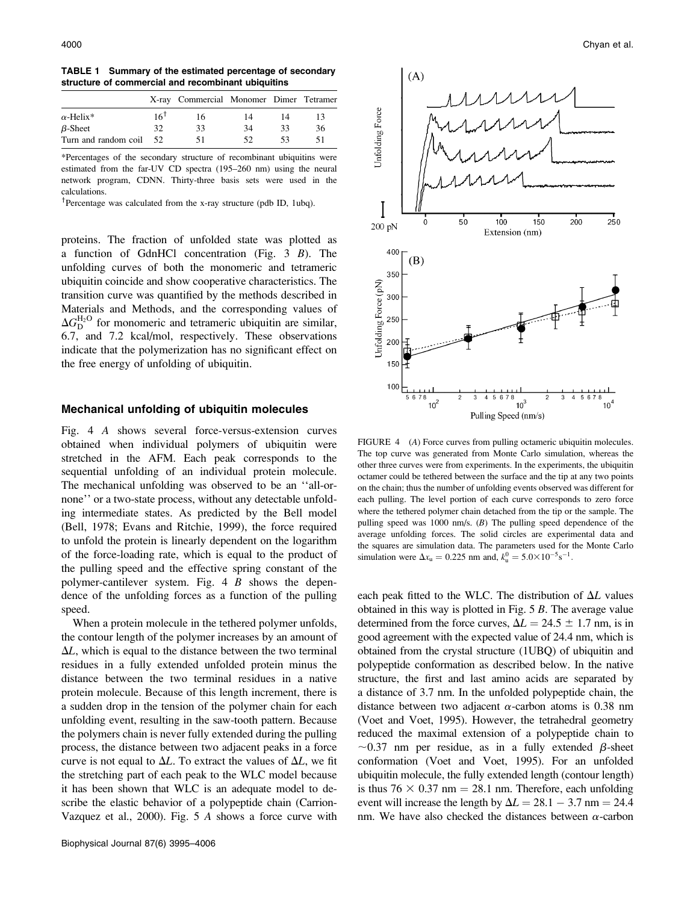TABLE 1 Summary of the estimated percentage of secondary structure of commercial and recombinant ubiquitins

|                         |     | X-ray Commercial Monomer Dimer Tetramer |    |    |    |
|-------------------------|-----|-----------------------------------------|----|----|----|
| $\alpha$ -Helix*        | 16† | 16                                      | 14 | 14 |    |
| $\beta$ -Sheet          | 32  | 33                                      | 34 | 33 | 36 |
| Turn and random coil 52 |     |                                         | 52 | 53 |    |

\*Percentages of the secondary structure of recombinant ubiquitins were estimated from the far-UV CD spectra (195–260 nm) using the neural network program, CDNN. Thirty-three basis sets were used in the calculations.

<sup>†</sup>Percentage was calculated from the x-ray structure (pdb ID, 1ubq).

proteins. The fraction of unfolded state was plotted as a function of GdnHCl concentration (Fig. 3 B). The unfolding curves of both the monomeric and tetrameric ubiquitin coincide and show cooperative characteristics. The transition curve was quantified by the methods described in Materials and Methods, and the corresponding values of  $\Delta G_{\text{D}}^{\text{H}_2\text{O}}$  for monomeric and tetrameric ubiquitin are similar, 6.7, and 7.2 kcal/mol, respectively. These observations indicate that the polymerization has no significant effect on the free energy of unfolding of ubiquitin.

#### Mechanical unfolding of ubiquitin molecules

Fig. 4 A shows several force-versus-extension curves obtained when individual polymers of ubiquitin were stretched in the AFM. Each peak corresponds to the sequential unfolding of an individual protein molecule. The mechanical unfolding was observed to be an ''all-ornone'' or a two-state process, without any detectable unfolding intermediate states. As predicted by the Bell model (Bell, 1978; Evans and Ritchie, 1999), the force required to unfold the protein is linearly dependent on the logarithm of the force-loading rate, which is equal to the product of the pulling speed and the effective spring constant of the polymer-cantilever system. Fig.  $4 \, B$  shows the dependence of the unfolding forces as a function of the pulling speed.

When a protein molecule in the tethered polymer unfolds, the contour length of the polymer increases by an amount of  $\Delta L$ , which is equal to the distance between the two terminal residues in a fully extended unfolded protein minus the distance between the two terminal residues in a native protein molecule. Because of this length increment, there is a sudden drop in the tension of the polymer chain for each unfolding event, resulting in the saw-tooth pattern. Because the polymers chain is never fully extended during the pulling process, the distance between two adjacent peaks in a force curve is not equal to  $\Delta L$ . To extract the values of  $\Delta L$ , we fit the stretching part of each peak to the WLC model because it has been shown that WLC is an adequate model to describe the elastic behavior of a polypeptide chain (Carrion-Vazquez et al., 2000). Fig. 5 A shows a force curve with



FIGURE 4 (A) Force curves from pulling octameric ubiquitin molecules. The top curve was generated from Monte Carlo simulation, whereas the other three curves were from experiments. In the experiments, the ubiquitin octamer could be tethered between the surface and the tip at any two points on the chain; thus the number of unfolding events observed was different for each pulling. The level portion of each curve corresponds to zero force where the tethered polymer chain detached from the tip or the sample. The pulling speed was 1000 nm/s. (B) The pulling speed dependence of the average unfolding forces. The solid circles are experimental data and the squares are simulation data. The parameters used for the Monte Carlo simulation were  $\Delta x_{\rm u} = 0.225$  nm and,  $k_{\rm u}^0 = 5.0 \times 10^{-5} \text{s}^{-1}$ .

each peak fitted to the WLC. The distribution of  $\Delta L$  values obtained in this way is plotted in Fig. 5 B. The average value determined from the force curves,  $\Delta L = 24.5 \pm 1.7$  nm, is in good agreement with the expected value of 24.4 nm, which is obtained from the crystal structure (1UBQ) of ubiquitin and polypeptide conformation as described below. In the native structure, the first and last amino acids are separated by a distance of 3.7 nm. In the unfolded polypeptide chain, the distance between two adjacent  $\alpha$ -carbon atoms is 0.38 nm (Voet and Voet, 1995). However, the tetrahedral geometry reduced the maximal extension of a polypeptide chain to  $\sim$ 0.37 nm per residue, as in a fully extended  $\beta$ -sheet conformation (Voet and Voet, 1995). For an unfolded ubiquitin molecule, the fully extended length (contour length) is thus  $76 \times 0.37$  nm = 28.1 nm. Therefore, each unfolding event will increase the length by  $\Delta L = 28.1 - 3.7$  nm = 24.4 nm. We have also checked the distances between  $\alpha$ -carbon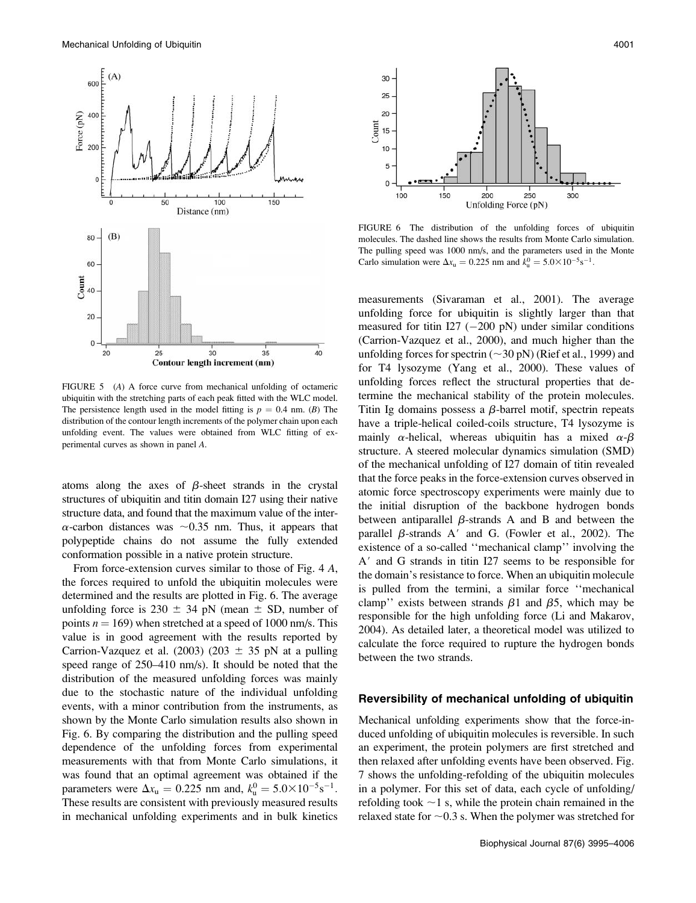

FIGURE 5 (A) A force curve from mechanical unfolding of octameric ubiquitin with the stretching parts of each peak fitted with the WLC model. The persistence length used in the model fitting is  $p = 0.4$  nm. (B) The distribution of the contour length increments of the polymer chain upon each unfolding event. The values were obtained from WLC fitting of experimental curves as shown in panel A.

atoms along the axes of  $\beta$ -sheet strands in the crystal structures of ubiquitin and titin domain I27 using their native structure data, and found that the maximum value of the inter- $\alpha$ -carbon distances was  $\sim$ 0.35 nm. Thus, it appears that polypeptide chains do not assume the fully extended conformation possible in a native protein structure.

From force-extension curves similar to those of Fig. 4 A, the forces required to unfold the ubiquitin molecules were determined and the results are plotted in Fig. 6. The average unfolding force is 230  $\pm$  34 pN (mean  $\pm$  SD, number of points  $n = 169$ ) when stretched at a speed of 1000 nm/s. This value is in good agreement with the results reported by Carrion-Vazquez et al. (2003) (203  $\pm$  35 pN at a pulling speed range of 250–410 nm/s). It should be noted that the distribution of the measured unfolding forces was mainly due to the stochastic nature of the individual unfolding events, with a minor contribution from the instruments, as shown by the Monte Carlo simulation results also shown in Fig. 6. By comparing the distribution and the pulling speed dependence of the unfolding forces from experimental measurements with that from Monte Carlo simulations, it was found that an optimal agreement was obtained if the parameters were  $\Delta x_{\text{u}} = 0.225$  nm and,  $k_{\text{u}}^0 = 5.0 \times 10^{-5} \text{s}^{-1}$ . These results are consistent with previously measured results in mechanical unfolding experiments and in bulk kinetics



FIGURE 6 The distribution of the unfolding forces of ubiquitin molecules. The dashed line shows the results from Monte Carlo simulation. The pulling speed was 1000 nm/s, and the parameters used in the Monte Carlo simulation were  $\Delta x_{\text{u}} = 0.225$  nm and  $k_{\text{u}}^0 = 5.0 \times 10^{-5} \text{s}^{-1}$ .

measurements (Sivaraman et al., 2001). The average unfolding force for ubiquitin is slightly larger than that measured for titin I27  $(-200 \text{ pN})$  under similar conditions (Carrion-Vazquez et al., 2000), and much higher than the unfolding forces for spectrin ( $\sim$ 30 pN) (Rief et al., 1999) and for T4 lysozyme (Yang et al., 2000). These values of unfolding forces reflect the structural properties that determine the mechanical stability of the protein molecules. Titin Ig domains possess a  $\beta$ -barrel motif, spectrin repeats have a triple-helical coiled-coils structure, T4 lysozyme is mainly  $\alpha$ -helical, whereas ubiquitin has a mixed  $\alpha$ - $\beta$ structure. A steered molecular dynamics simulation (SMD) of the mechanical unfolding of I27 domain of titin revealed that the force peaks in the force-extension curves observed in atomic force spectroscopy experiments were mainly due to the initial disruption of the backbone hydrogen bonds between antiparallel  $\beta$ -strands A and B and between the parallel  $\beta$ -strands A' and G. (Fowler et al., 2002). The existence of a so-called ''mechanical clamp'' involving the A' and G strands in titin I27 seems to be responsible for the domain's resistance to force. When an ubiquitin molecule is pulled from the termini, a similar force ''mechanical clamp'' exists between strands  $\beta$ 1 and  $\beta$ 5, which may be responsible for the high unfolding force (Li and Makarov, 2004). As detailed later, a theoretical model was utilized to calculate the force required to rupture the hydrogen bonds between the two strands.

#### Reversibility of mechanical unfolding of ubiquitin

Mechanical unfolding experiments show that the force-induced unfolding of ubiquitin molecules is reversible. In such an experiment, the protein polymers are first stretched and then relaxed after unfolding events have been observed. Fig. 7 shows the unfolding-refolding of the ubiquitin molecules in a polymer. For this set of data, each cycle of unfolding/ refolding took  $\sim$ 1 s, while the protein chain remained in the relaxed state for  $\sim$  0.3 s. When the polymer was stretched for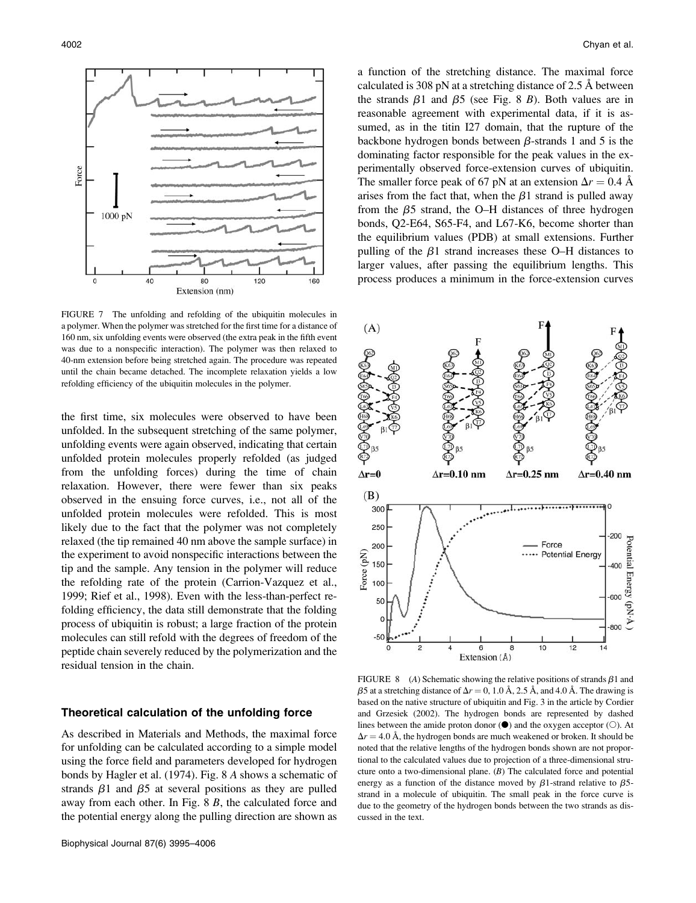

FIGURE 7 The unfolding and refolding of the ubiquitin molecules in a polymer. When the polymer was stretched for the first time for a distance of 160 nm, six unfolding events were observed (the extra peak in the fifth event was due to a nonspecific interaction). The polymer was then relaxed to 40-nm extension before being stretched again. The procedure was repeated until the chain became detached. The incomplete relaxation yields a low refolding efficiency of the ubiquitin molecules in the polymer.

the first time, six molecules were observed to have been unfolded. In the subsequent stretching of the same polymer, unfolding events were again observed, indicating that certain unfolded protein molecules properly refolded (as judged from the unfolding forces) during the time of chain relaxation. However, there were fewer than six peaks observed in the ensuing force curves, i.e., not all of the unfolded protein molecules were refolded. This is most likely due to the fact that the polymer was not completely relaxed (the tip remained 40 nm above the sample surface) in the experiment to avoid nonspecific interactions between the tip and the sample. Any tension in the polymer will reduce the refolding rate of the protein (Carrion-Vazquez et al., 1999; Rief et al., 1998). Even with the less-than-perfect refolding efficiency, the data still demonstrate that the folding process of ubiquitin is robust; a large fraction of the protein molecules can still refold with the degrees of freedom of the peptide chain severely reduced by the polymerization and the residual tension in the chain.

#### Theoretical calculation of the unfolding force

As described in Materials and Methods, the maximal force for unfolding can be calculated according to a simple model using the force field and parameters developed for hydrogen bonds by Hagler et al. (1974). Fig. 8 A shows a schematic of strands  $\beta$ 1 and  $\beta$ 5 at several positions as they are pulled away from each other. In Fig. 8 B, the calculated force and the potential energy along the pulling direction are shown as a function of the stretching distance. The maximal force calculated is 308 pN at a stretching distance of 2.5  $\AA$  between the strands  $\beta$ 1 and  $\beta$ 5 (see Fig. 8 B). Both values are in reasonable agreement with experimental data, if it is assumed, as in the titin I27 domain, that the rupture of the backbone hydrogen bonds between  $\beta$ -strands 1 and 5 is the dominating factor responsible for the peak values in the experimentally observed force-extension curves of ubiquitin. The smaller force peak of 67 pN at an extension  $\Delta r = 0.4$  Å arises from the fact that, when the  $\beta$ 1 strand is pulled away from the  $\beta$ 5 strand, the O–H distances of three hydrogen bonds, Q2-E64, S65-F4, and L67-K6, become shorter than the equilibrium values (PDB) at small extensions. Further pulling of the  $\beta$ 1 strand increases these O–H distances to larger values, after passing the equilibrium lengths. This process produces a minimum in the force-extension curves



FIGURE 8 (A) Schematic showing the relative positions of strands  $\beta$ 1 and  $\beta$ 5 at a stretching distance of  $\Delta r = 0$ , 1.0 Å, 2.5 Å, and 4.0 Å. The drawing is based on the native structure of ubiquitin and Fig. 3 in the article by Cordier and Grzesiek (2002). The hydrogen bonds are represented by dashed lines between the amide proton donor  $(\bullet)$  and the oxygen acceptor  $(\circ)$ . At  $\Delta r = 4.0$  Å, the hydrogen bonds are much weakened or broken. It should be noted that the relative lengths of the hydrogen bonds shown are not proportional to the calculated values due to projection of a three-dimensional structure onto a two-dimensional plane. (B) The calculated force and potential energy as a function of the distance moved by  $\beta$ 1-strand relative to  $\beta$ 5strand in a molecule of ubiquitin. The small peak in the force curve is due to the geometry of the hydrogen bonds between the two strands as discussed in the text.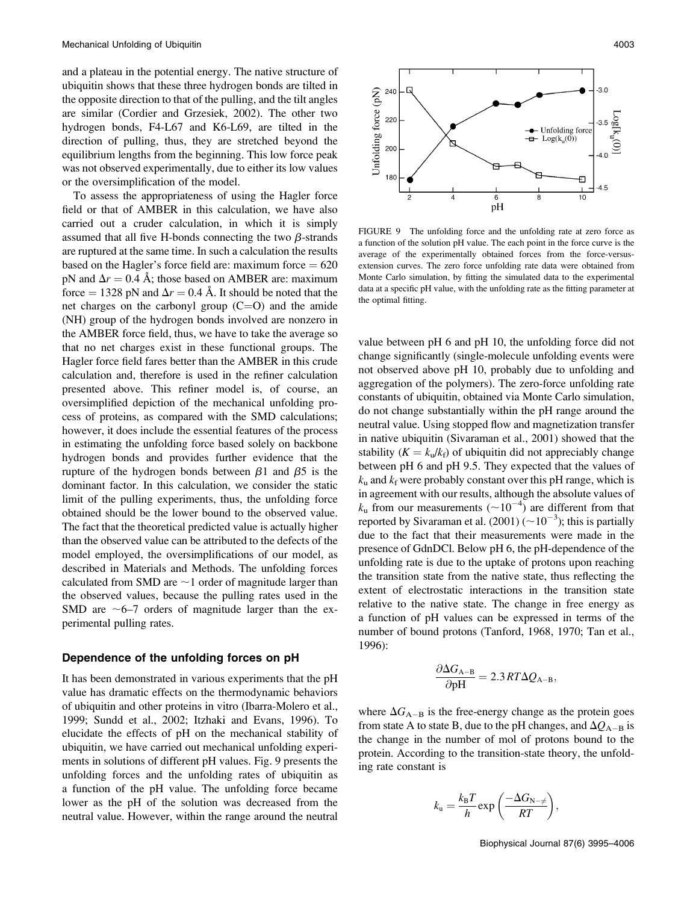and a plateau in the potential energy. The native structure of ubiquitin shows that these three hydrogen bonds are tilted in the opposite direction to that of the pulling, and the tilt angles are similar (Cordier and Grzesiek, 2002). The other two hydrogen bonds, F4-L67 and K6-L69, are tilted in the direction of pulling, thus, they are stretched beyond the equilibrium lengths from the beginning. This low force peak was not observed experimentally, due to either its low values or the oversimplification of the model.

To assess the appropriateness of using the Hagler force field or that of AMBER in this calculation, we have also carried out a cruder calculation, in which it is simply assumed that all five H-bonds connecting the two  $\beta$ -strands are ruptured at the same time. In such a calculation the results based on the Hagler's force field are: maximum force  $= 620$ pN and  $\Delta r = 0.4$  Å; those based on AMBER are: maximum force = 1328 pN and  $\Delta r = 0.4$  Å. It should be noted that the net charges on the carbonyl group  $(C=O)$  and the amide (NH) group of the hydrogen bonds involved are nonzero in the AMBER force field, thus, we have to take the average so that no net charges exist in these functional groups. The Hagler force field fares better than the AMBER in this crude calculation and, therefore is used in the refiner calculation presented above. This refiner model is, of course, an oversimplified depiction of the mechanical unfolding process of proteins, as compared with the SMD calculations; however, it does include the essential features of the process in estimating the unfolding force based solely on backbone hydrogen bonds and provides further evidence that the rupture of the hydrogen bonds between  $\beta$ 1 and  $\beta$ 5 is the dominant factor. In this calculation, we consider the static limit of the pulling experiments, thus, the unfolding force obtained should be the lower bound to the observed value. The fact that the theoretical predicted value is actually higher than the observed value can be attributed to the defects of the model employed, the oversimplifications of our model, as described in Materials and Methods. The unfolding forces calculated from SMD are  $\sim$  1 order of magnitude larger than the observed values, because the pulling rates used in the SMD are  $\sim$  6–7 orders of magnitude larger than the experimental pulling rates.

#### Dependence of the unfolding forces on pH

It has been demonstrated in various experiments that the pH value has dramatic effects on the thermodynamic behaviors of ubiquitin and other proteins in vitro (Ibarra-Molero et al., 1999; Sundd et al., 2002; Itzhaki and Evans, 1996). To elucidate the effects of pH on the mechanical stability of ubiquitin, we have carried out mechanical unfolding experiments in solutions of different pH values. Fig. 9 presents the unfolding forces and the unfolding rates of ubiquitin as a function of the pH value. The unfolding force became lower as the pH of the solution was decreased from the neutral value. However, within the range around the neutral



FIGURE 9 The unfolding force and the unfolding rate at zero force as a function of the solution pH value. The each point in the force curve is the average of the experimentally obtained forces from the force-versusextension curves. The zero force unfolding rate data were obtained from Monte Carlo simulation, by fitting the simulated data to the experimental data at a specific pH value, with the unfolding rate as the fitting parameter at the optimal fitting.

value between pH 6 and pH 10, the unfolding force did not change significantly (single-molecule unfolding events were not observed above pH 10, probably due to unfolding and aggregation of the polymers). The zero-force unfolding rate constants of ubiquitin, obtained via Monte Carlo simulation, do not change substantially within the pH range around the neutral value. Using stopped flow and magnetization transfer in native ubiquitin (Sivaraman et al., 2001) showed that the stability ( $K = k_{\rm u}/k_{\rm f}$ ) of ubiquitin did not appreciably change between pH 6 and pH 9.5. They expected that the values of  $k<sub>u</sub>$  and  $k<sub>f</sub>$  were probably constant over this pH range, which is in agreement with our results, although the absolute values of  $k_{\rm u}$  from our measurements ( $\sim 10^{-4}$ ) are different from that reported by Sivaraman et al.  $(2001)$  ( $\sim$ 10<sup>-3</sup>); this is partially due to the fact that their measurements were made in the presence of GdnDCl. Below pH 6, the pH-dependence of the unfolding rate is due to the uptake of protons upon reaching the transition state from the native state, thus reflecting the extent of electrostatic interactions in the transition state relative to the native state. The change in free energy as a function of pH values can be expressed in terms of the number of bound protons (Tanford, 1968, 1970; Tan et al., 1996):

$$
\frac{\partial \Delta G_{\text{A}-\text{B}}}{\partial \text{pH}} = 2.3 RT \Delta Q_{\text{A}-\text{B}},
$$

where  $\Delta G_{A-B}$  is the free-energy change as the protein goes from state A to state B, due to the pH changes, and  $\Delta Q_{A-B}$  is the change in the number of mol of protons bound to the protein. According to the transition-state theory, the unfolding rate constant is

$$
k_{\rm u} = \frac{k_{\rm B}T}{h} \exp\left(\frac{-\Delta G_{\rm N-\neq}}{RT}\right),\,
$$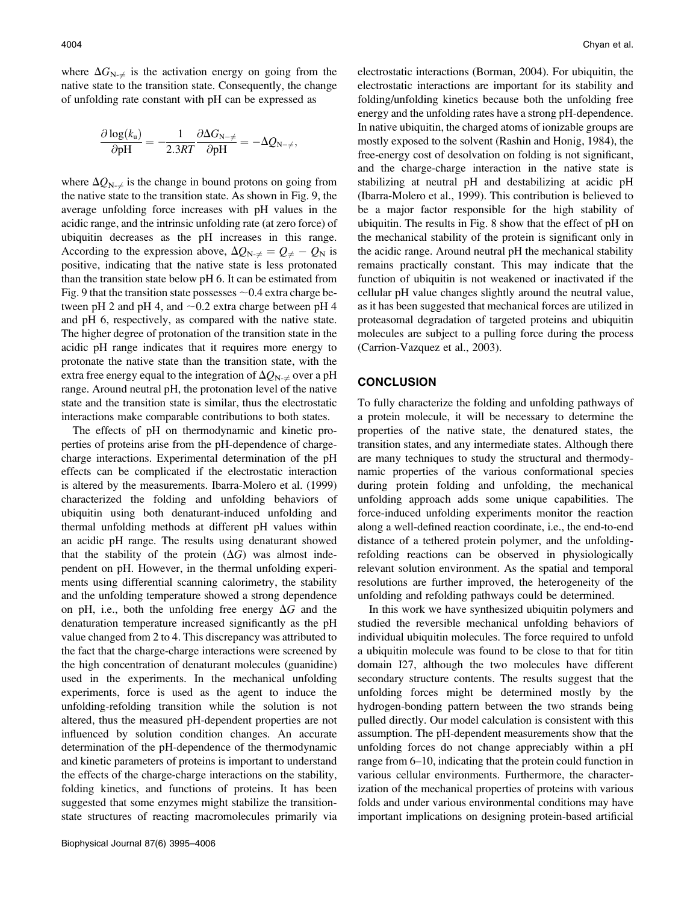where  $\Delta G_{\text{N-}\neq}$  is the activation energy on going from the native state to the transition state. Consequently, the change of unfolding rate constant with pH can be expressed as

$$
\frac{\partial \log(k_{\rm u})}{\partial \rm pH} = -\frac{1}{2.3RT} \frac{\partial \Delta G_{\rm N-\neq}}{\partial \rm pH} = -\Delta Q_{\rm N-\neq},
$$

where  $\Delta Q_{N-\neq}$  is the change in bound protons on going from the native state to the transition state. As shown in Fig. 9, the average unfolding force increases with pH values in the acidic range, and the intrinsic unfolding rate (at zero force) of ubiquitin decreases as the pH increases in this range. According to the expression above,  $\Delta Q_{N-\neq} = Q_{\neq} - Q_N$  is positive, indicating that the native state is less protonated than the transition state below pH 6. It can be estimated from Fig. 9 that the transition state possesses  $\sim 0.4$  extra charge between pH 2 and pH 4, and  $\sim 0.2$  extra charge between pH 4 and pH 6, respectively, as compared with the native state. The higher degree of protonation of the transition state in the acidic pH range indicates that it requires more energy to protonate the native state than the transition state, with the extra free energy equal to the integration of  $\Delta Q_{N-\neq}$  over a pH range. Around neutral pH, the protonation level of the native state and the transition state is similar, thus the electrostatic interactions make comparable contributions to both states.

The effects of pH on thermodynamic and kinetic properties of proteins arise from the pH-dependence of chargecharge interactions. Experimental determination of the pH effects can be complicated if the electrostatic interaction is altered by the measurements. Ibarra-Molero et al. (1999) characterized the folding and unfolding behaviors of ubiquitin using both denaturant-induced unfolding and thermal unfolding methods at different pH values within an acidic pH range. The results using denaturant showed that the stability of the protein  $(\Delta G)$  was almost independent on pH. However, in the thermal unfolding experiments using differential scanning calorimetry, the stability and the unfolding temperature showed a strong dependence on pH, i.e., both the unfolding free energy  $\Delta G$  and the denaturation temperature increased significantly as the pH value changed from 2 to 4. This discrepancy was attributed to the fact that the charge-charge interactions were screened by the high concentration of denaturant molecules (guanidine) used in the experiments. In the mechanical unfolding experiments, force is used as the agent to induce the unfolding-refolding transition while the solution is not altered, thus the measured pH-dependent properties are not influenced by solution condition changes. An accurate determination of the pH-dependence of the thermodynamic and kinetic parameters of proteins is important to understand the effects of the charge-charge interactions on the stability, folding kinetics, and functions of proteins. It has been suggested that some enzymes might stabilize the transitionstate structures of reacting macromolecules primarily via electrostatic interactions (Borman, 2004). For ubiquitin, the electrostatic interactions are important for its stability and folding/unfolding kinetics because both the unfolding free energy and the unfolding rates have a strong pH-dependence. In native ubiquitin, the charged atoms of ionizable groups are mostly exposed to the solvent (Rashin and Honig, 1984), the free-energy cost of desolvation on folding is not significant, and the charge-charge interaction in the native state is stabilizing at neutral pH and destabilizing at acidic pH (Ibarra-Molero et al., 1999). This contribution is believed to be a major factor responsible for the high stability of ubiquitin. The results in Fig. 8 show that the effect of pH on the mechanical stability of the protein is significant only in the acidic range. Around neutral pH the mechanical stability remains practically constant. This may indicate that the function of ubiquitin is not weakened or inactivated if the cellular pH value changes slightly around the neutral value, as it has been suggested that mechanical forces are utilized in proteasomal degradation of targeted proteins and ubiquitin molecules are subject to a pulling force during the process (Carrion-Vazquez et al., 2003).

## **CONCLUSION**

To fully characterize the folding and unfolding pathways of a protein molecule, it will be necessary to determine the properties of the native state, the denatured states, the transition states, and any intermediate states. Although there are many techniques to study the structural and thermodynamic properties of the various conformational species during protein folding and unfolding, the mechanical unfolding approach adds some unique capabilities. The force-induced unfolding experiments monitor the reaction along a well-defined reaction coordinate, i.e., the end-to-end distance of a tethered protein polymer, and the unfoldingrefolding reactions can be observed in physiologically relevant solution environment. As the spatial and temporal resolutions are further improved, the heterogeneity of the unfolding and refolding pathways could be determined.

In this work we have synthesized ubiquitin polymers and studied the reversible mechanical unfolding behaviors of individual ubiquitin molecules. The force required to unfold a ubiquitin molecule was found to be close to that for titin domain I27, although the two molecules have different secondary structure contents. The results suggest that the unfolding forces might be determined mostly by the hydrogen-bonding pattern between the two strands being pulled directly. Our model calculation is consistent with this assumption. The pH-dependent measurements show that the unfolding forces do not change appreciably within a pH range from 6–10, indicating that the protein could function in various cellular environments. Furthermore, the characterization of the mechanical properties of proteins with various folds and under various environmental conditions may have important implications on designing protein-based artificial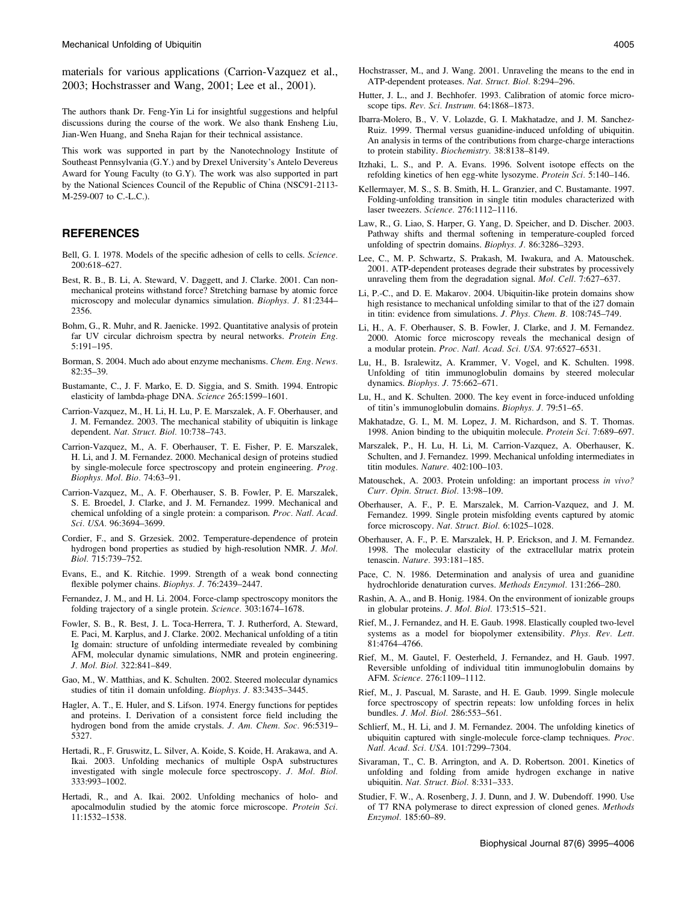materials for various applications (Carrion-Vazquez et al., 2003; Hochstrasser and Wang, 2001; Lee et al., 2001).

The authors thank Dr. Feng-Yin Li for insightful suggestions and helpful discussions during the course of the work. We also thank Ensheng Liu, Jian-Wen Huang, and Sneha Rajan for their technical assistance.

This work was supported in part by the Nanotechnology Institute of Southeast Pennsylvania (G.Y.) and by Drexel University's Antelo Devereus Award for Young Faculty (to G.Y). The work was also supported in part by the National Sciences Council of the Republic of China (NSC91-2113- M-259-007 to C.-L.C.).

# **REFERENCES**

- Bell, G. I. 1978. Models of the specific adhesion of cells to cells. Science. 200:618–627.
- Best, R. B., B. Li, A. Steward, V. Daggett, and J. Clarke. 2001. Can nonmechanical proteins withstand force? Stretching barnase by atomic force microscopy and molecular dynamics simulation. Biophys. J. 81:2344– 2356.
- Bohm, G., R. Muhr, and R. Jaenicke. 1992. Quantitative analysis of protein far UV circular dichroism spectra by neural networks. Protein Eng. 5:191–195.
- Borman, S. 2004. Much ado about enzyme mechanisms. Chem. Eng. News. 82:35–39.
- Bustamante, C., J. F. Marko, E. D. Siggia, and S. Smith. 1994. Entropic elasticity of lambda-phage DNA. Science 265:1599–1601.
- Carrion-Vazquez, M., H. Li, H. Lu, P. E. Marszalek, A. F. Oberhauser, and J. M. Fernandez. 2003. The mechanical stability of ubiquitin is linkage dependent. Nat. Struct. Biol. 10:738-743.
- Carrion-Vazquez, M., A. F. Oberhauser, T. E. Fisher, P. E. Marszalek, H. Li, and J. M. Fernandez. 2000. Mechanical design of proteins studied by single-molecule force spectroscopy and protein engineering. Prog. Biophys. Mol. Bio. 74:63–91.
- Carrion-Vazquez, M., A. F. Oberhauser, S. B. Fowler, P. E. Marszalek, S. E. Broedel, J. Clarke, and J. M. Fernandez. 1999. Mechanical and chemical unfolding of a single protein: a comparison. Proc. Natl. Acad. Sci. USA. 96:3694–3699.
- Cordier, F., and S. Grzesiek. 2002. Temperature-dependence of protein hydrogen bond properties as studied by high-resolution NMR. J. Mol. Biol. 715:739–752.
- Evans, E., and K. Ritchie. 1999. Strength of a weak bond connecting flexible polymer chains. Biophys. J. 76:2439–2447.
- Fernandez, J. M., and H. Li. 2004. Force-clamp spectroscopy monitors the folding trajectory of a single protein. Science. 303:1674–1678.
- Fowler, S. B., R. Best, J. L. Toca-Herrera, T. J. Rutherford, A. Steward, E. Paci, M. Karplus, and J. Clarke. 2002. Mechanical unfolding of a titin Ig domain: structure of unfolding intermediate revealed by combining AFM, molecular dynamic simulations, NMR and protein engineering. J. Mol. Biol. 322:841–849.
- Gao, M., W. Matthias, and K. Schulten. 2002. Steered molecular dynamics studies of titin i1 domain unfolding. Biophys. J. 83:3435–3445.
- Hagler, A. T., E. Huler, and S. Lifson. 1974. Energy functions for peptides and proteins. I. Derivation of a consistent force field including the hydrogen bond from the amide crystals. J. Am. Chem. Soc. 96:5319– 5327.
- Hertadi, R., F. Gruswitz, L. Silver, A. Koide, S. Koide, H. Arakawa, and A. Ikai. 2003. Unfolding mechanics of multiple OspA substructures investigated with single molecule force spectroscopy. J. Mol. Biol. 333:993–1002.
- Hertadi, R., and A. Ikai. 2002. Unfolding mechanics of holo- and apocalmodulin studied by the atomic force microscope. Protein Sci. 11:1532–1538.
- Hochstrasser, M., and J. Wang. 2001. Unraveling the means to the end in
- ATP-dependent proteases. Nat. Struct. Biol. 8:294–296.
- Hutter, J. L., and J. Bechhofer. 1993. Calibration of atomic force microscope tips. Rev. Sci. Instrum. 64:1868–1873.
- Ibarra-Molero, B., V. V. Lolazde, G. I. Makhatadze, and J. M. Sanchez-Ruiz. 1999. Thermal versus guanidine-induced unfolding of ubiquitin. An analysis in terms of the contributions from charge-charge interactions to protein stability. Biochemistry. 38:8138–8149.
- Itzhaki, L. S., and P. A. Evans. 1996. Solvent isotope effects on the refolding kinetics of hen egg-white lysozyme. Protein Sci. 5:140–146.
- Kellermayer, M. S., S. B. Smith, H. L. Granzier, and C. Bustamante. 1997. Folding-unfolding transition in single titin modules characterized with laser tweezers. Science. 276:1112-1116.
- Law, R., G. Liao, S. Harper, G. Yang, D. Speicher, and D. Discher. 2003. Pathway shifts and thermal softening in temperature-coupled forced unfolding of spectrin domains. Biophys. J. 86:3286–3293.
- Lee, C., M. P. Schwartz, S. Prakash, M. Iwakura, and A. Matouschek. 2001. ATP-dependent proteases degrade their substrates by processively unraveling them from the degradation signal. Mol. Cell. 7:627–637.
- Li, P.-C., and D. E. Makarov. 2004. Ubiquitin-like protein domains show high resistance to mechanical unfolding similar to that of the i27 domain in titin: evidence from simulations. J. Phys. Chem. B. 108:745–749.
- Li, H., A. F. Oberhauser, S. B. Fowler, J. Clarke, and J. M. Fernandez. 2000. Atomic force microscopy reveals the mechanical design of a modular protein. Proc. Natl. Acad. Sci. USA. 97:6527–6531.
- Lu, H., B. Isralewitz, A. Krammer, V. Vogel, and K. Schulten. 1998. Unfolding of titin immunoglobulin domains by steered molecular dynamics. Biophys. J. 75:662–671.
- Lu, H., and K. Schulten. 2000. The key event in force-induced unfolding of titin's immunoglobulin domains. Biophys. J. 79:51–65.
- Makhatadze, G. I., M. M. Lopez, J. M. Richardson, and S. T. Thomas. 1998. Anion binding to the ubiquitin molecule. Protein Sci. 7:689-697.
- Marszalek, P., H. Lu, H. Li, M. Carrion-Vazquez, A. Oberhauser, K. Schulten, and J. Fernandez. 1999. Mechanical unfolding intermediates in titin modules. Nature. 402:100–103.
- Matouschek, A. 2003. Protein unfolding: an important process in vivo? Curr. Opin. Struct. Biol. 13:98–109.
- Oberhauser, A. F., P. E. Marszalek, M. Carrion-Vazquez, and J. M. Fernandez. 1999. Single protein misfolding events captured by atomic force microscopy. Nat. Struct. Biol. 6:1025–1028.
- Oberhauser, A. F., P. E. Marszalek, H. P. Erickson, and J. M. Fernandez. 1998. The molecular elasticity of the extracellular matrix protein tenascin. Nature. 393:181–185.
- Pace, C. N. 1986. Determination and analysis of urea and guanidine hydrochloride denaturation curves. Methods Enzymol. 131:266–280.
- Rashin, A. A., and B. Honig. 1984. On the environment of ionizable groups in globular proteins. J. Mol. Biol. 173:515–521.
- Rief, M., J. Fernandez, and H. E. Gaub. 1998. Elastically coupled two-level systems as a model for biopolymer extensibility. Phys. Rev. Lett. 81:4764–4766.
- Rief, M., M. Gautel, F. Oesterheld, J. Fernandez, and H. Gaub. 1997. Reversible unfolding of individual titin immunoglobulin domains by AFM. Science. 276:1109–1112.
- Rief, M., J. Pascual, M. Saraste, and H. E. Gaub. 1999. Single molecule force spectroscopy of spectrin repeats: low unfolding forces in helix bundles. J. Mol. Biol. 286:553–561.
- Schlierf, M., H. Li, and J. M. Fernandez. 2004. The unfolding kinetics of ubiquitin captured with single-molecule force-clamp techniques. Proc. Natl. Acad. Sci. USA. 101:7299–7304.
- Sivaraman, T., C. B. Arrington, and A. D. Robertson. 2001. Kinetics of unfolding and folding from amide hydrogen exchange in native ubiquitin. Nat. Struct. Biol. 8:331–333.
- Studier, F. W., A. Rosenberg, J. J. Dunn, and J. W. Dubendoff. 1990. Use of T7 RNA polymerase to direct expression of cloned genes. Methods Enzymol. 185:60–89.